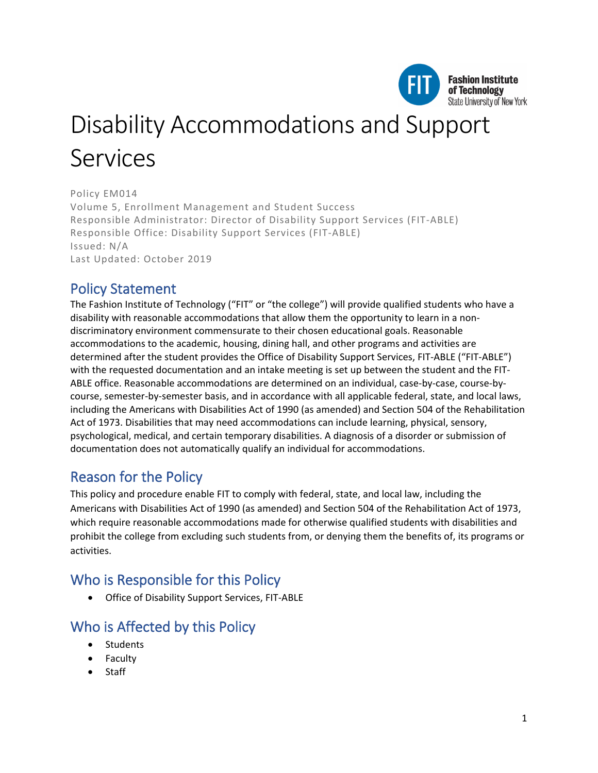

# Disability Accommodations and Support Services

Policy EM014 Volume 5, Enrollment Management and Student Success Responsible Administrator: Director of Disability Support Services (FIT-ABLE) Responsible Office: Disability Support Services (FIT-ABLE) Issued: N/A Last Updated: October 2019

# Policy Statement

The Fashion Institute of Technology ("FIT" or "the college") will provide qualified students who have a disability with reasonable accommodations that allow them the opportunity to learn in a nondiscriminatory environment commensurate to their chosen educational goals. Reasonable accommodations to the academic, housing, dining hall, and other programs and activities are determined after the student provides the Office of Disability Support Services, FIT-ABLE ("FIT-ABLE") with the requested documentation and an intake meeting is set up between the student and the FIT-ABLE office. Reasonable accommodations are determined on an individual, case-by-case, course-bycourse, semester-by-semester basis, and in accordance with all applicable federal, state, and local laws, including the Americans with Disabilities Act of 1990 (as amended) and Section 504 of the Rehabilitation Act of 1973. Disabilities that may need accommodations can include learning, physical, sensory, psychological, medical, and certain temporary disabilities. A diagnosis of a disorder or submission of documentation does not automatically qualify an individual for accommodations.

# Reason for the Policy

This policy and procedure enable FIT to comply with federal, state, and local law, including the Americans with Disabilities Act of 1990 (as amended) and Section 504 of the Rehabilitation Act of 1973, which require reasonable accommodations made for otherwise qualified students with disabilities and prohibit the college from excluding such students from, or denying them the benefits of, its programs or activities.

# Who is Responsible for this Policy

• Office of Disability Support Services, FIT-ABLE

# Who is Affected by this Policy

- Students
- Faculty
- Staff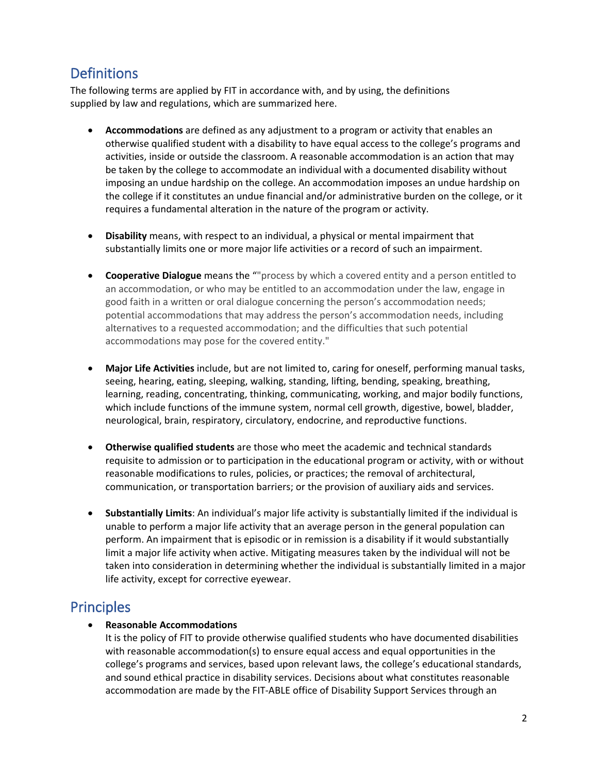# **Definitions**

The following terms are applied by FIT in accordance with, and by using, the definitions supplied by law and regulations, which are summarized here.

- **Accommodations** are defined as any adjustment to a program or activity that enables an otherwise qualified student with a disability to have equal access to the college's programs and activities, inside or outside the classroom. A reasonable accommodation is an action that may be taken by the college to accommodate an individual with a documented disability without imposing an undue hardship on the college. An accommodation imposes an undue hardship on the college if it constitutes an undue financial and/or administrative burden on the college, or it requires a fundamental alteration in the nature of the program or activity.
- **Disability** means, with respect to an individual, a physical or mental impairment that substantially limits one or more major life activities or a record of such an impairment.
- **Cooperative Dialogue** means the ""process by which a covered entity and a person entitled to an accommodation, or who may be entitled to an accommodation under the law, engage in good faith in a written or oral dialogue concerning the person's accommodation needs; potential accommodations that may address the person's accommodation needs, including alternatives to a requested accommodation; and the difficulties that such potential accommodations may pose for the covered entity."
- **Major Life Activities** include, but are not limited to, caring for oneself, performing manual tasks, seeing, hearing, eating, sleeping, walking, standing, lifting, bending, speaking, breathing, learning, reading, concentrating, thinking, communicating, working, and major bodily functions, which include functions of the immune system, normal cell growth, digestive, bowel, bladder, neurological, brain, respiratory, circulatory, endocrine, and reproductive functions.
- **Otherwise qualified students** are those who meet the academic and technical standards requisite to admission or to participation in the educational program or activity, with or without reasonable modifications to rules, policies, or practices; the removal of architectural, communication, or transportation barriers; or the provision of auxiliary aids and services.
- **Substantially Limits**: An individual's major life activity is substantially limited if the individual is unable to perform a major life activity that an average person in the general population can perform. An impairment that is episodic or in remission is a disability if it would substantially limit a major life activity when active. Mitigating measures taken by the individual will not be taken into consideration in determining whether the individual is substantially limited in a major life activity, except for corrective eyewear.

# **Principles**

## • **Reasonable Accommodations**

It is the policy of FIT to provide otherwise qualified students who have documented disabilities with reasonable accommodation(s) to ensure equal access and equal opportunities in the college's programs and services, based upon relevant laws, the college's educational standards, and sound ethical practice in disability services. Decisions about what constitutes reasonable accommodation are made by the FIT-ABLE office of Disability Support Services through an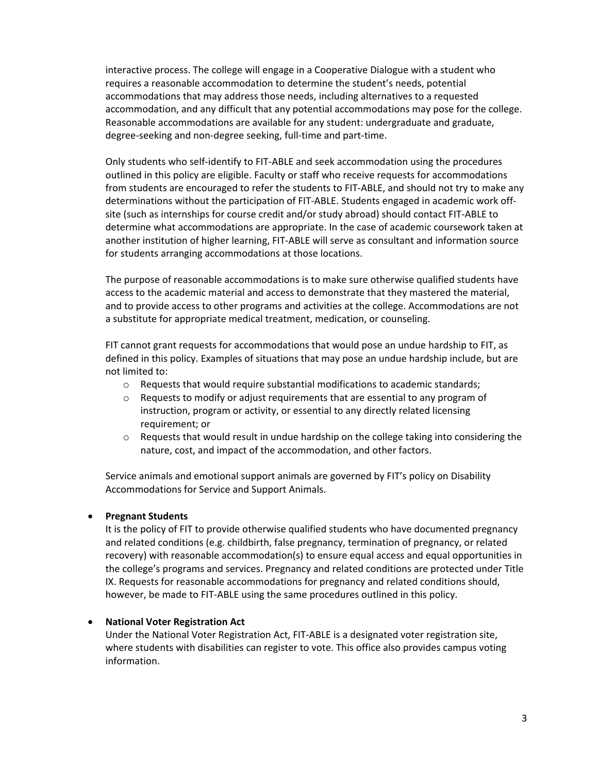interactive process. The college will engage in a Cooperative Dialogue with a student who requires a reasonable accommodation to determine the student's needs, potential accommodations that may address those needs, including alternatives to a requested accommodation, and any difficult that any potential accommodations may pose for the college. Reasonable accommodations are available for any student: undergraduate and graduate, degree-seeking and non-degree seeking, full-time and part-time.

Only students who self-identify to FIT-ABLE and seek accommodation using the procedures outlined in this policy are eligible. Faculty or staff who receive requests for accommodations from students are encouraged to refer the students to FIT-ABLE, and should not try to make any determinations without the participation of FIT-ABLE. Students engaged in academic work offsite (such as internships for course credit and/or study abroad) should contact FIT-ABLE to determine what accommodations are appropriate. In the case of academic coursework taken at another institution of higher learning, FIT-ABLE will serve as consultant and information source for students arranging accommodations at those locations.

The purpose of reasonable accommodations is to make sure otherwise qualified students have access to the academic material and access to demonstrate that they mastered the material, and to provide access to other programs and activities at the college. Accommodations are not a substitute for appropriate medical treatment, medication, or counseling.

FIT cannot grant requests for accommodations that would pose an undue hardship to FIT, as defined in this policy. Examples of situations that may pose an undue hardship include, but are not limited to:

- o Requests that would require substantial modifications to academic standards;
- $\circ$  Requests to modify or adjust requirements that are essential to any program of instruction, program or activity, or essential to any directly related licensing requirement; or
- $\circ$  Requests that would result in undue hardship on the college taking into considering the nature, cost, and impact of the accommodation, and other factors.

Service animals and emotional support animals are governed by FIT's policy on Disability Accommodations for Service and Support Animals.

## • **Pregnant Students**

It is the policy of FIT to provide otherwise qualified students who have documented pregnancy and related conditions (e.g. childbirth, false pregnancy, termination of pregnancy, or related recovery) with reasonable accommodation(s) to ensure equal access and equal opportunities in the college's programs and services. Pregnancy and related conditions are protected under Title IX. Requests for reasonable accommodations for pregnancy and related conditions should, however, be made to FIT-ABLE using the same procedures outlined in this policy.

## • **National Voter Registration Act**

Under the National Voter Registration Act, FIT-ABLE is a designated voter registration site, where students with disabilities can register to vote. This office also provides campus voting information.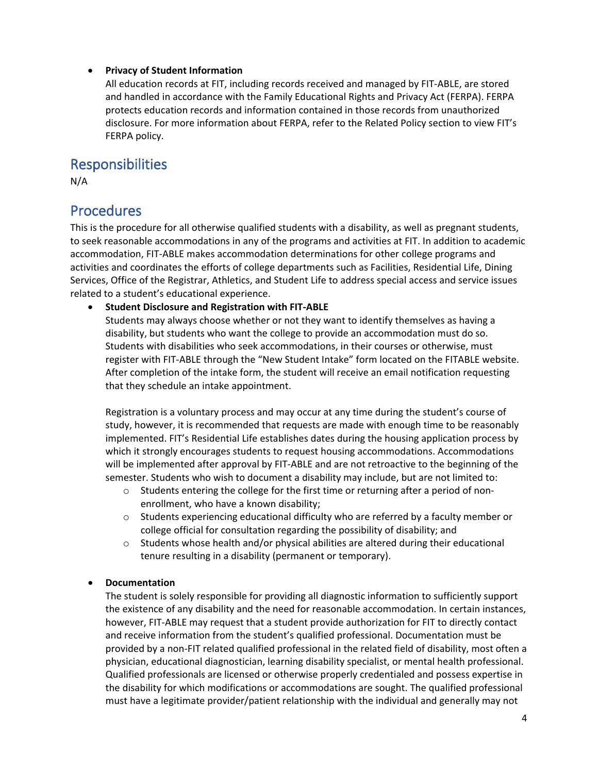## • **Privacy of Student Information**

All education records at FIT, including records received and managed by FIT-ABLE, are stored and handled in accordance with the Family Educational Rights and Privacy Act (FERPA). FERPA protects education records and information contained in those records from unauthorized disclosure. For more information about FERPA, refer to the Related Policy section to view FIT's FERPA policy.

## Responsibilities

N/A

## Procedures

This is the procedure for all otherwise qualified students with a disability, as well as pregnant students, to seek reasonable accommodations in any of the programs and activities at FIT. In addition to academic accommodation, FIT-ABLE makes accommodation determinations for other college programs and activities and coordinates the efforts of college departments such as Facilities, Residential Life, Dining Services, Office of the Registrar, Athletics, and Student Life to address special access and service issues related to a student's educational experience.

• **Student Disclosure and Registration with FIT-ABLE**

Students may always choose whether or not they want to identify themselves as having a disability, but students who want the college to provide an accommodation must do so. Students with disabilities who seek accommodations, in their courses or otherwise, must register with FIT-ABLE through the "New Student Intake" form located on the FITABLE website. After completion of the intake form, the student will receive an email notification requesting that they schedule an intake appointment.

Registration is a voluntary process and may occur at any time during the student's course of study, however, it is recommended that requests are made with enough time to be reasonably implemented. FIT's Residential Life establishes dates during the housing application process by which it strongly encourages students to request housing accommodations. Accommodations will be implemented after approval by FIT-ABLE and are not retroactive to the beginning of the semester. Students who wish to document a disability may include, but are not limited to:

- $\circ$  Students entering the college for the first time or returning after a period of nonenrollment, who have a known disability;
- Students experiencing educational difficulty who are referred by a faculty member or college official for consultation regarding the possibility of disability; and
- $\circ$  Students whose health and/or physical abilities are altered during their educational tenure resulting in a disability (permanent or temporary).

## • **Documentation**

The student is solely responsible for providing all diagnostic information to sufficiently support the existence of any disability and the need for reasonable accommodation. In certain instances, however, FIT-ABLE may request that a student provide authorization for FIT to directly contact and receive information from the student's qualified professional. Documentation must be provided by a non-FIT related qualified professional in the related field of disability, most often a physician, educational diagnostician, learning disability specialist, or mental health professional. Qualified professionals are licensed or otherwise properly credentialed and possess expertise in the disability for which modifications or accommodations are sought. The qualified professional must have a legitimate provider/patient relationship with the individual and generally may not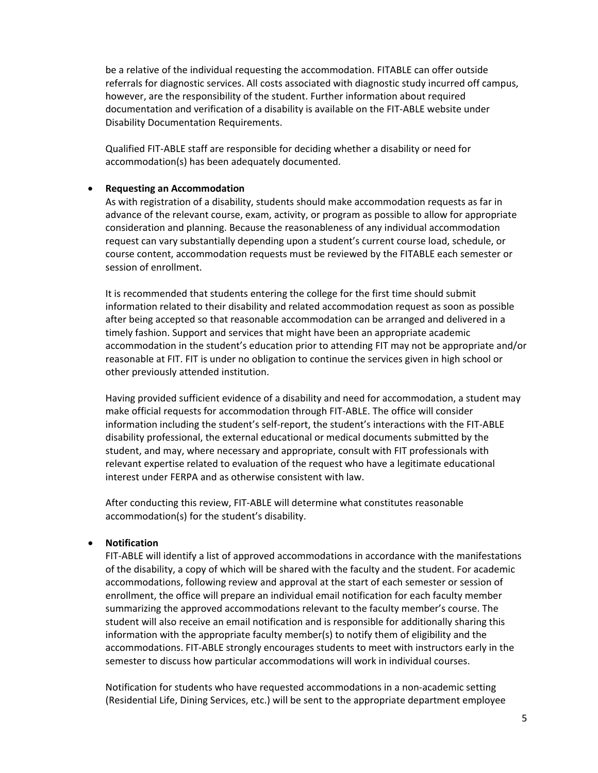be a relative of the individual requesting the accommodation. FITABLE can offer outside referrals for diagnostic services. All costs associated with diagnostic study incurred off campus, however, are the responsibility of the student. Further information about required documentation and verification of a disability is available on the FIT-ABLE website under Disability Documentation Requirements.

Qualified FIT-ABLE staff are responsible for deciding whether a disability or need for accommodation(s) has been adequately documented.

#### • **Requesting an Accommodation**

As with registration of a disability, students should make accommodation requests as far in advance of the relevant course, exam, activity, or program as possible to allow for appropriate consideration and planning. Because the reasonableness of any individual accommodation request can vary substantially depending upon a student's current course load, schedule, or course content, accommodation requests must be reviewed by the FITABLE each semester or session of enrollment.

It is recommended that students entering the college for the first time should submit information related to their disability and related accommodation request as soon as possible after being accepted so that reasonable accommodation can be arranged and delivered in a timely fashion. Support and services that might have been an appropriate academic accommodation in the student's education prior to attending FIT may not be appropriate and/or reasonable at FIT. FIT is under no obligation to continue the services given in high school or other previously attended institution.

Having provided sufficient evidence of a disability and need for accommodation, a student may make official requests for accommodation through FIT-ABLE. The office will consider information including the student's self-report, the student's interactions with the FIT-ABLE disability professional, the external educational or medical documents submitted by the student, and may, where necessary and appropriate, consult with FIT professionals with relevant expertise related to evaluation of the request who have a legitimate educational interest under FERPA and as otherwise consistent with law.

After conducting this review, FIT-ABLE will determine what constitutes reasonable accommodation(s) for the student's disability.

#### • **Notification**

FIT-ABLE will identify a list of approved accommodations in accordance with the manifestations of the disability, a copy of which will be shared with the faculty and the student. For academic accommodations, following review and approval at the start of each semester or session of enrollment, the office will prepare an individual email notification for each faculty member summarizing the approved accommodations relevant to the faculty member's course. The student will also receive an email notification and is responsible for additionally sharing this information with the appropriate faculty member(s) to notify them of eligibility and the accommodations. FIT-ABLE strongly encourages students to meet with instructors early in the semester to discuss how particular accommodations will work in individual courses.

Notification for students who have requested accommodations in a non-academic setting (Residential Life, Dining Services, etc.) will be sent to the appropriate department employee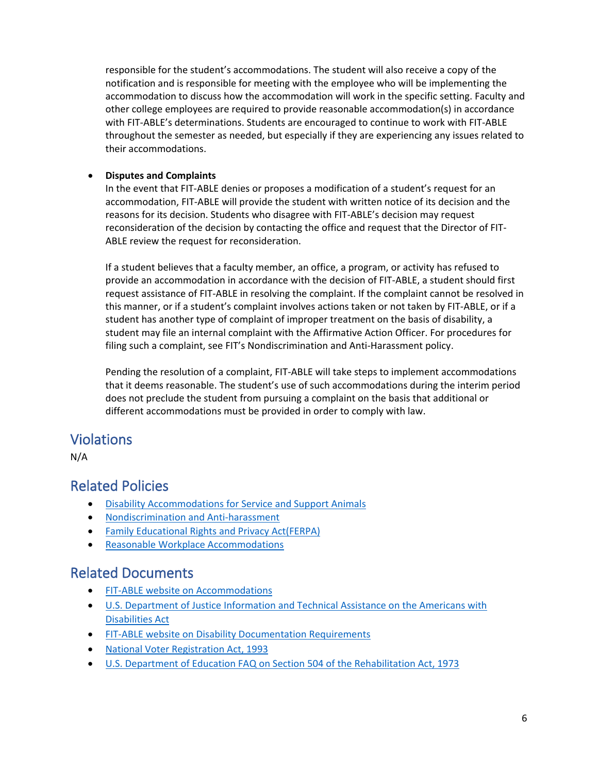responsible for the student's accommodations. The student will also receive a copy of the notification and is responsible for meeting with the employee who will be implementing the accommodation to discuss how the accommodation will work in the specific setting. Faculty and other college employees are required to provide reasonable accommodation(s) in accordance with FIT-ABLE's determinations. Students are encouraged to continue to work with FIT-ABLE throughout the semester as needed, but especially if they are experiencing any issues related to their accommodations.

## • **Disputes and Complaints**

In the event that FIT-ABLE denies or proposes a modification of a student's request for an accommodation, FIT-ABLE will provide the student with written notice of its decision and the reasons for its decision. Students who disagree with FIT-ABLE's decision may request reconsideration of the decision by contacting the office and request that the Director of FIT-ABLE review the request for reconsideration.

If a student believes that a faculty member, an office, a program, or activity has refused to provide an accommodation in accordance with the decision of FIT-ABLE, a student should first request assistance of FIT-ABLE in resolving the complaint. If the complaint cannot be resolved in this manner, or if a student's complaint involves actions taken or not taken by FIT-ABLE, or if a student has another type of complaint of improper treatment on the basis of disability, a student may file an internal complaint with the Affirmative Action Officer. For procedures for filing such a complaint, see FIT's Nondiscrimination and Anti-Harassment policy.

Pending the resolution of a complaint, FIT-ABLE will take steps to implement accommodations that it deems reasonable. The student's use of such accommodations during the interim period does not preclude the student from pursuing a complaint on the basis that additional or different accommodations must be provided in order to comply with law.

# Violations

N/A

# Related Policies

- [Disability Accommodations for Service and Support Animals](http://www.fitnyc.edu/policies/enrollment-management/service-animals.php)
- [Nondiscrimination and Anti-harassment](http://www.fitnyc.edu/policies/college/nondiscrimination.php)
- [Family Educational Rights and Privacy Act\(FERPA\)](http://www.fitnyc.edu/policies/enrollment-management/ferpa.php)
- [Reasonable Workplace Accommodations](https://www.fitnyc.edu/policies/hr/reasonable_workplace_accommodations.php)

# Related Documents

- [FIT-ABLE website on Accommodations](http://www.fitnyc.edu/fitable/)
- [U.S. Department of Justice Information and Technical Assistance on the Americans with](https://www.ada.gov/)  [Disabilities Act](https://www.ada.gov/)
- [FIT-ABLE website on Disability Documentation Requirements](http://www.fitnyc.edu/fitable/)
- [National Voter Registration Act, 1993](https://www.justice.gov/crt/national-voter-registration-act-1993-nvra)
- [U.S. Department of Education FAQ on Section 504 of the Rehabilitation Act, 1973](https://www2.ed.gov/about/offices/list/ocr/504faq.html)